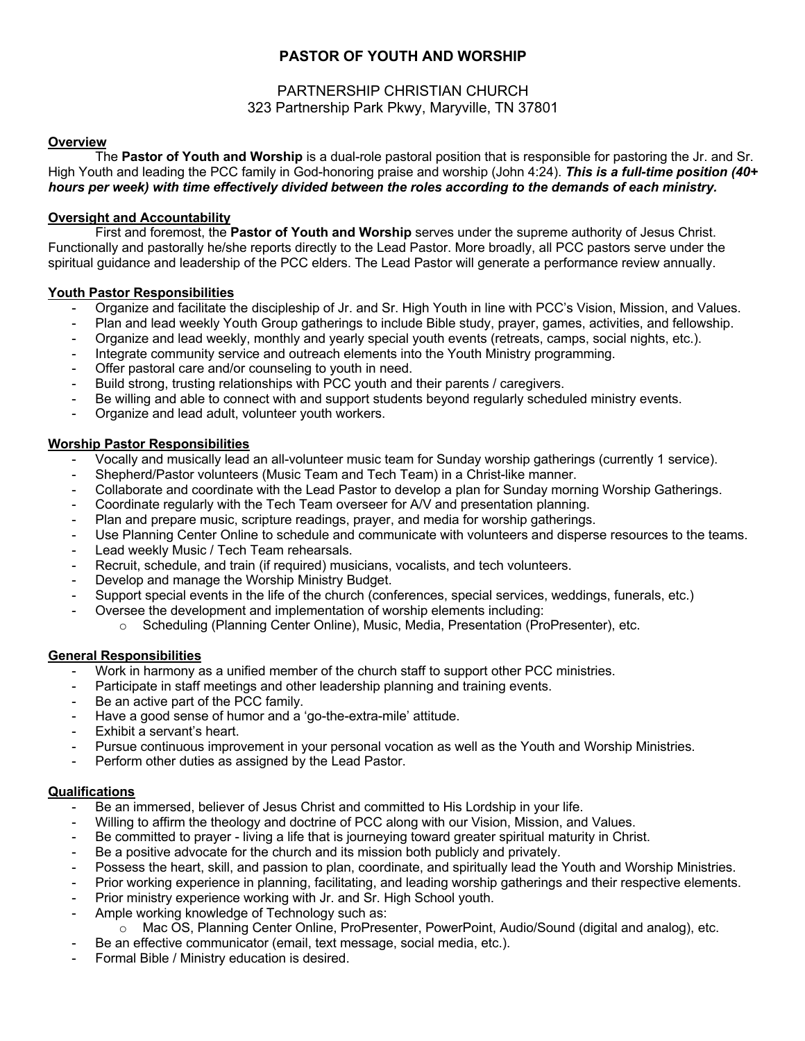# **PASTOR OF YOUTH AND WORSHIP**

# PARTNERSHIP CHRISTIAN CHURCH 323 Partnership Park Pkwy, Maryville, TN 37801

#### **Overview**

The **Pastor of Youth and Worship** is a dual-role pastoral position that is responsible for pastoring the Jr. and Sr. High Youth and leading the PCC family in God-honoring praise and worship (John 4:24). *This is a full-time position (40+ hours per week) with time effectively divided between the roles according to the demands of each ministry.*

#### **Oversight and Accountability**

First and foremost, the **Pastor of Youth and Worship** serves under the supreme authority of Jesus Christ. Functionally and pastorally he/she reports directly to the Lead Pastor. More broadly, all PCC pastors serve under the spiritual guidance and leadership of the PCC elders. The Lead Pastor will generate a performance review annually.

#### **Youth Pastor Responsibilities**

- Organize and facilitate the discipleship of Jr. and Sr. High Youth in line with PCC's Vision, Mission, and Values.
- Plan and lead weekly Youth Group gatherings to include Bible study, prayer, games, activities, and fellowship.
- Organize and lead weekly, monthly and yearly special youth events (retreats, camps, social nights, etc.).
- Integrate community service and outreach elements into the Youth Ministry programming.
- Offer pastoral care and/or counseling to youth in need.
- Build strong, trusting relationships with PCC youth and their parents / caregivers.
- Be willing and able to connect with and support students beyond regularly scheduled ministry events.
- Organize and lead adult, volunteer youth workers.

#### **Worship Pastor Responsibilities**

- Vocally and musically lead an all-volunteer music team for Sunday worship gatherings (currently 1 service).
- Shepherd/Pastor volunteers (Music Team and Tech Team) in a Christ-like manner.
- Collaborate and coordinate with the Lead Pastor to develop a plan for Sunday morning Worship Gatherings.
- Coordinate regularly with the Tech Team overseer for A/V and presentation planning.
- Plan and prepare music, scripture readings, prayer, and media for worship gatherings.
- Use Planning Center Online to schedule and communicate with volunteers and disperse resources to the teams.
- Lead weekly Music / Tech Team rehearsals.
- Recruit, schedule, and train (if required) musicians, vocalists, and tech volunteers.
- Develop and manage the Worship Ministry Budget.
- Support special events in the life of the church (conferences, special services, weddings, funerals, etc.)
- Oversee the development and implementation of worship elements including:
	- o Scheduling (Planning Center Online), Music, Media, Presentation (ProPresenter), etc.

#### **General Responsibilities**

- Work in harmony as a unified member of the church staff to support other PCC ministries.
- Participate in staff meetings and other leadership planning and training events.
- Be an active part of the PCC family.
- Have a good sense of humor and a 'go-the-extra-mile' attitude.
- Exhibit a servant's heart.
- Pursue continuous improvement in your personal vocation as well as the Youth and Worship Ministries.
- Perform other duties as assigned by the Lead Pastor.

## **Qualifications**

- Be an immersed, believer of Jesus Christ and committed to His Lordship in your life.
- Willing to affirm the theology and doctrine of PCC along with our Vision, Mission, and Values.
- Be committed to prayer living a life that is journeying toward greater spiritual maturity in Christ.
- Be a positive advocate for the church and its mission both publicly and privately.
- Possess the heart, skill, and passion to plan, coordinate, and spiritually lead the Youth and Worship Ministries.
- Prior working experience in planning, facilitating, and leading worship gatherings and their respective elements.
- Prior ministry experience working with Jr. and Sr. High School youth.
- Ample working knowledge of Technology such as:
	- o Mac OS, Planning Center Online, ProPresenter, PowerPoint, Audio/Sound (digital and analog), etc.
- Be an effective communicator (email, text message, social media, etc.).
- Formal Bible / Ministry education is desired.